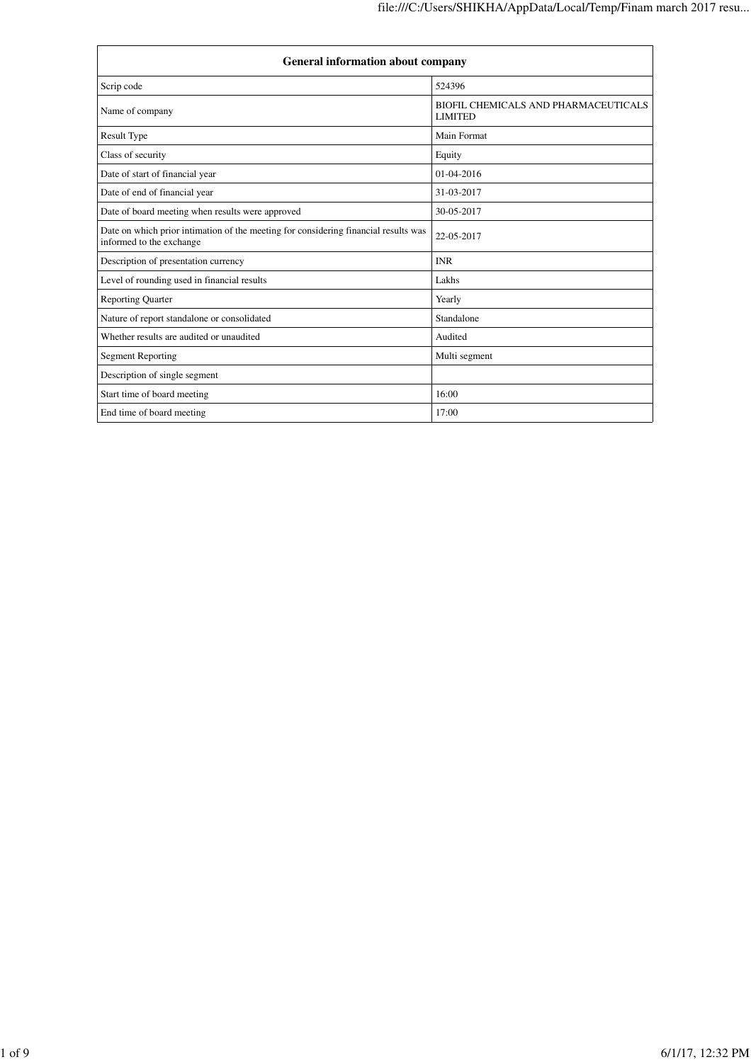| <b>General information about company</b>                                                                        |                                                        |  |  |
|-----------------------------------------------------------------------------------------------------------------|--------------------------------------------------------|--|--|
| Scrip code                                                                                                      | 524396                                                 |  |  |
| Name of company                                                                                                 | BIOFIL CHEMICALS AND PHARMACEUTICALS<br><b>LIMITED</b> |  |  |
| <b>Result Type</b>                                                                                              | Main Format                                            |  |  |
| Class of security                                                                                               | Equity                                                 |  |  |
| Date of start of financial year                                                                                 | $01-04-2016$                                           |  |  |
| Date of end of financial year                                                                                   | 31-03-2017                                             |  |  |
| Date of board meeting when results were approved                                                                | 30-05-2017                                             |  |  |
| Date on which prior intimation of the meeting for considering financial results was<br>informed to the exchange | 22-05-2017                                             |  |  |
| Description of presentation currency                                                                            | <b>INR</b>                                             |  |  |
| Level of rounding used in financial results                                                                     | Lakhs                                                  |  |  |
| <b>Reporting Quarter</b>                                                                                        | Yearly                                                 |  |  |
| Nature of report standalone or consolidated                                                                     | Standalone                                             |  |  |
| Whether results are audited or unaudited                                                                        | Audited                                                |  |  |
| <b>Segment Reporting</b>                                                                                        | Multi segment                                          |  |  |
| Description of single segment                                                                                   |                                                        |  |  |
| Start time of board meeting                                                                                     | 16:00                                                  |  |  |
| End time of board meeting                                                                                       | 17:00                                                  |  |  |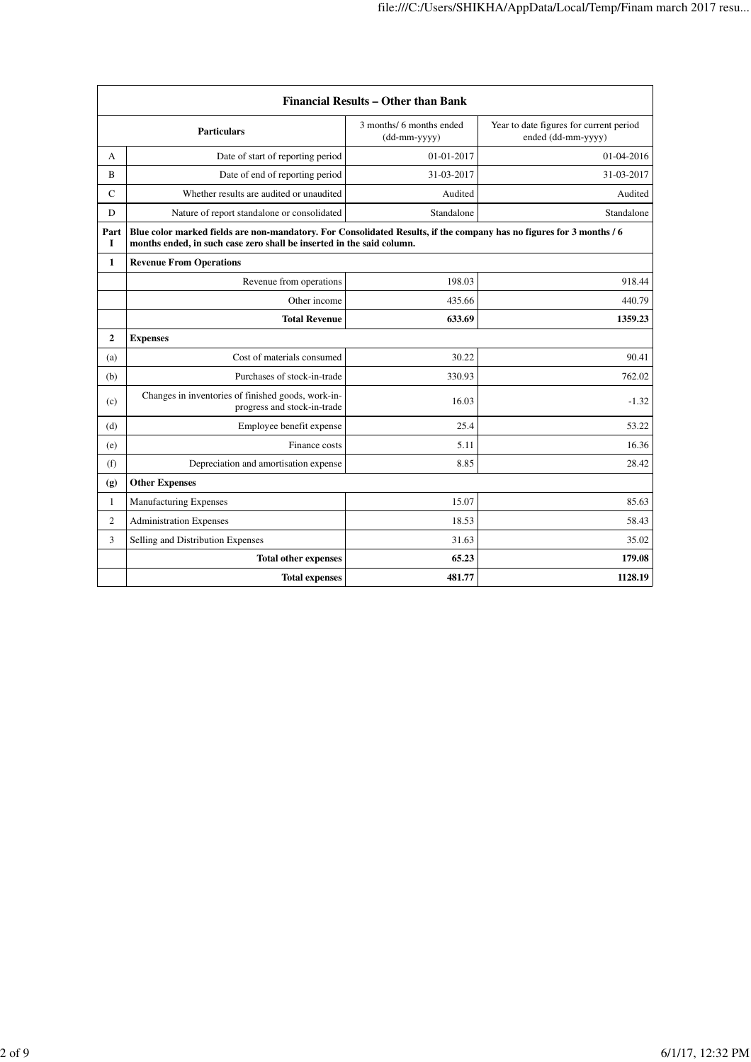| Financial Results – Other than Bank  |                                                                                                                                                                                               |                                          |                                                               |  |
|--------------------------------------|-----------------------------------------------------------------------------------------------------------------------------------------------------------------------------------------------|------------------------------------------|---------------------------------------------------------------|--|
| <b>Particulars</b>                   |                                                                                                                                                                                               | 3 months/ 6 months ended<br>(dd-mm-yyyy) | Year to date figures for current period<br>ended (dd-mm-yyyy) |  |
| A                                    | Date of start of reporting period                                                                                                                                                             | 01-01-2017                               | 01-04-2016                                                    |  |
| B                                    | Date of end of reporting period                                                                                                                                                               | 31-03-2017                               | 31-03-2017                                                    |  |
| C                                    | Whether results are audited or unaudited                                                                                                                                                      | Audited                                  | Audited                                                       |  |
| D                                    | Nature of report standalone or consolidated                                                                                                                                                   | Standalone                               | Standalone                                                    |  |
| Part<br>$\mathbf I$                  | Blue color marked fields are non-mandatory. For Consolidated Results, if the company has no figures for 3 months / 6<br>months ended, in such case zero shall be inserted in the said column. |                                          |                                                               |  |
| 1                                    | <b>Revenue From Operations</b>                                                                                                                                                                |                                          |                                                               |  |
|                                      | Revenue from operations                                                                                                                                                                       | 198.03                                   | 918.44                                                        |  |
|                                      | Other income                                                                                                                                                                                  | 435.66                                   | 440.79                                                        |  |
|                                      | <b>Total Revenue</b>                                                                                                                                                                          | 633.69                                   | 1359.23                                                       |  |
| $\overline{2}$                       | <b>Expenses</b>                                                                                                                                                                               |                                          |                                                               |  |
| (a)                                  | Cost of materials consumed                                                                                                                                                                    | 30.22                                    | 90.41                                                         |  |
| (b)                                  | Purchases of stock-in-trade                                                                                                                                                                   | 330.93                                   | 762.02                                                        |  |
| (c)                                  | Changes in inventories of finished goods, work-in-<br>progress and stock-in-trade                                                                                                             | 16.03                                    | $-1.32$                                                       |  |
| (d)                                  | Employee benefit expense                                                                                                                                                                      | 25.4                                     | 53.22                                                         |  |
| (e)                                  | Finance costs                                                                                                                                                                                 | 5.11                                     | 16.36                                                         |  |
| (f)                                  | Depreciation and amortisation expense                                                                                                                                                         | 8.85                                     | 28.42                                                         |  |
| (g)                                  | <b>Other Expenses</b>                                                                                                                                                                         |                                          |                                                               |  |
| $\mathbf{1}$                         | <b>Manufacturing Expenses</b>                                                                                                                                                                 | 15.07                                    | 85.63                                                         |  |
| $\overline{2}$                       | <b>Administration Expenses</b>                                                                                                                                                                | 18.53                                    | 58.43                                                         |  |
| 3                                    | Selling and Distribution Expenses                                                                                                                                                             | 31.63                                    | 35.02                                                         |  |
| 65.23<br><b>Total other expenses</b> |                                                                                                                                                                                               |                                          |                                                               |  |
|                                      | <b>Total expenses</b>                                                                                                                                                                         | 481.77                                   | 1128.19                                                       |  |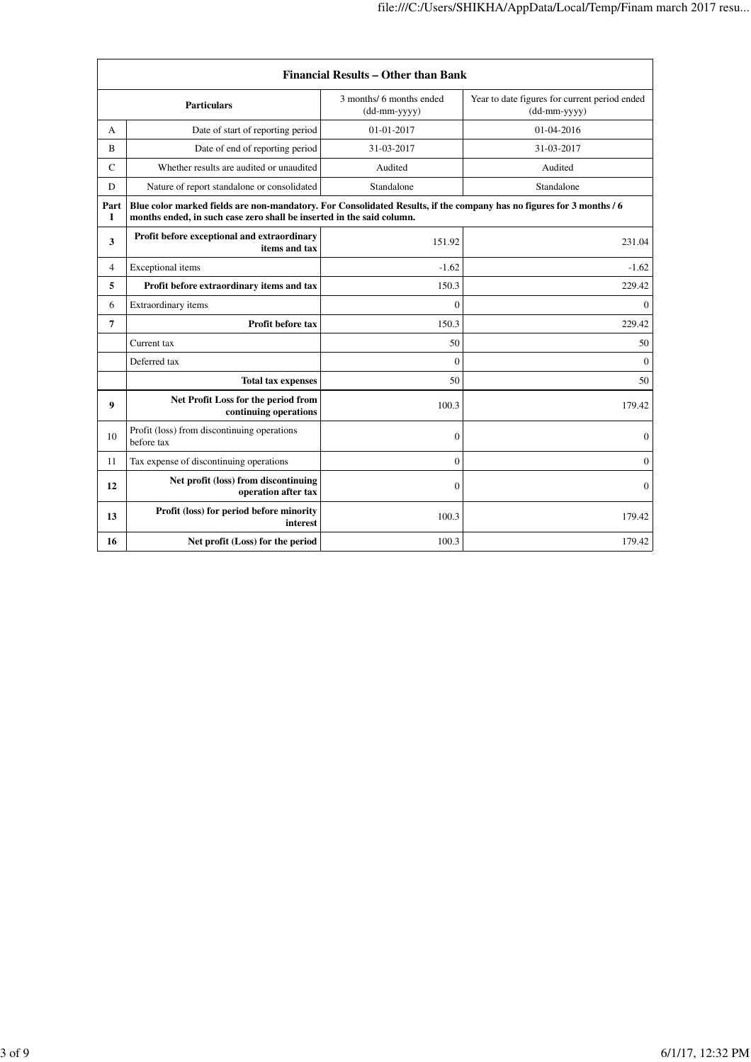| Financial Results – Other than Bank |                                                                                                                                                                                               |                                            |                                                               |  |
|-------------------------------------|-----------------------------------------------------------------------------------------------------------------------------------------------------------------------------------------------|--------------------------------------------|---------------------------------------------------------------|--|
|                                     | <b>Particulars</b>                                                                                                                                                                            | 3 months/ 6 months ended<br>$(dd-mm-yyyy)$ | Year to date figures for current period ended<br>(dd-mm-yyyy) |  |
| A                                   | Date of start of reporting period                                                                                                                                                             | 01-01-2017                                 | 01-04-2016                                                    |  |
| B                                   | Date of end of reporting period                                                                                                                                                               | 31-03-2017                                 | 31-03-2017                                                    |  |
| $\mathcal{C}$                       | Whether results are audited or unaudited                                                                                                                                                      | Audited                                    | Audited                                                       |  |
| D                                   | Nature of report standalone or consolidated                                                                                                                                                   | Standalone                                 | Standalone                                                    |  |
| Part<br>I                           | Blue color marked fields are non-mandatory. For Consolidated Results, if the company has no figures for 3 months / 6<br>months ended, in such case zero shall be inserted in the said column. |                                            |                                                               |  |
| 3                                   | Profit before exceptional and extraordinary<br>items and tax                                                                                                                                  | 151.92                                     | 231.04                                                        |  |
| 4                                   | Exceptional items                                                                                                                                                                             | $-1.62$                                    | $-1.62$                                                       |  |
| 5                                   | Profit before extraordinary items and tax                                                                                                                                                     | 150.3                                      | 229.42                                                        |  |
| 6                                   | Extraordinary items                                                                                                                                                                           | $\mathbf{0}$                               | $\Omega$                                                      |  |
| 7                                   | <b>Profit before tax</b>                                                                                                                                                                      | 150.3                                      | 229.42                                                        |  |
|                                     | Current tax                                                                                                                                                                                   | 50                                         | 50                                                            |  |
|                                     | Deferred tax                                                                                                                                                                                  | $\Omega$                                   | $\Omega$                                                      |  |
|                                     | <b>Total tax expenses</b>                                                                                                                                                                     | 50                                         | 50                                                            |  |
| 9                                   | Net Profit Loss for the period from<br>continuing operations                                                                                                                                  | 100.3                                      | 179.42                                                        |  |
| 10                                  | Profit (loss) from discontinuing operations<br>before tax                                                                                                                                     | $\mathbf{0}$                               | $\mathbf{0}$                                                  |  |
| 11                                  | Tax expense of discontinuing operations                                                                                                                                                       | $\mathbf{0}$                               | $\overline{0}$                                                |  |
| 12                                  | Net profit (loss) from discontinuing<br>operation after tax                                                                                                                                   | $\Omega$                                   | $\Omega$                                                      |  |
| 13                                  | Profit (loss) for period before minority<br>interest                                                                                                                                          | 100.3                                      | 179.42                                                        |  |
| 16                                  | Net profit (Loss) for the period                                                                                                                                                              | 100.3                                      | 179.42                                                        |  |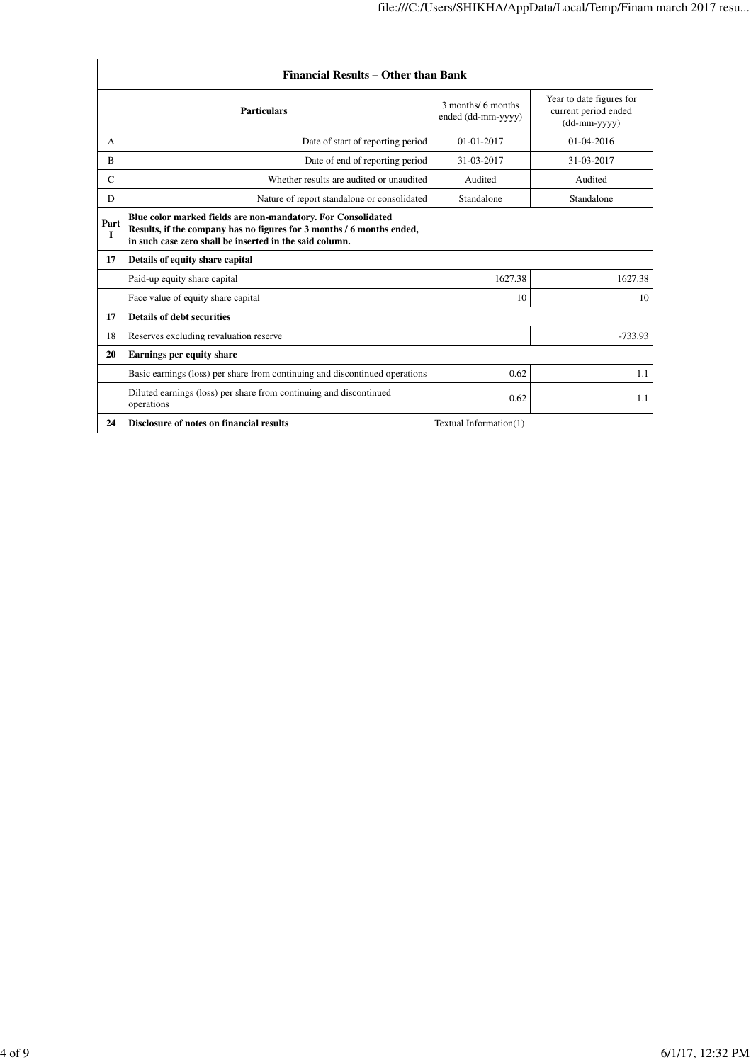| <b>Financial Results - Other than Bank</b> |                                                                                                                                                                                                  |                                          |                                                                    |
|--------------------------------------------|--------------------------------------------------------------------------------------------------------------------------------------------------------------------------------------------------|------------------------------------------|--------------------------------------------------------------------|
|                                            | <b>Particulars</b>                                                                                                                                                                               | 3 months/ 6 months<br>ended (dd-mm-yyyy) | Year to date figures for<br>current period ended<br>$(dd-mm-yyyy)$ |
| A                                          | Date of start of reporting period                                                                                                                                                                | $01 - 01 - 2017$                         | $01-04-2016$                                                       |
| R                                          | Date of end of reporting period                                                                                                                                                                  | 31-03-2017                               | 31-03-2017                                                         |
| $\mathsf{C}$                               | Whether results are audited or unaudited                                                                                                                                                         | Audited                                  | Audited                                                            |
| D                                          | Nature of report standalone or consolidated                                                                                                                                                      | Standalone                               | Standalone                                                         |
| Part<br>$\mathbf{I}$                       | Blue color marked fields are non-mandatory. For Consolidated<br>Results, if the company has no figures for 3 months / 6 months ended,<br>in such case zero shall be inserted in the said column. |                                          |                                                                    |
| 17                                         | Details of equity share capital                                                                                                                                                                  |                                          |                                                                    |
|                                            | Paid-up equity share capital                                                                                                                                                                     | 1627.38                                  | 1627.38                                                            |
|                                            | Face value of equity share capital                                                                                                                                                               | 10                                       | 10                                                                 |
| 17                                         | <b>Details of debt securities</b>                                                                                                                                                                |                                          |                                                                    |
| 18                                         | Reserves excluding revaluation reserve                                                                                                                                                           |                                          | $-733.93$                                                          |
| 20                                         | <b>Earnings per equity share</b>                                                                                                                                                                 |                                          |                                                                    |
|                                            | Basic earnings (loss) per share from continuing and discontinued operations                                                                                                                      | 0.62                                     | 1.1                                                                |
|                                            | Diluted earnings (loss) per share from continuing and discontinued<br>operations                                                                                                                 | 0.62                                     | 1.1                                                                |
| 24                                         | Disclosure of notes on financial results                                                                                                                                                         | Textual Information(1)                   |                                                                    |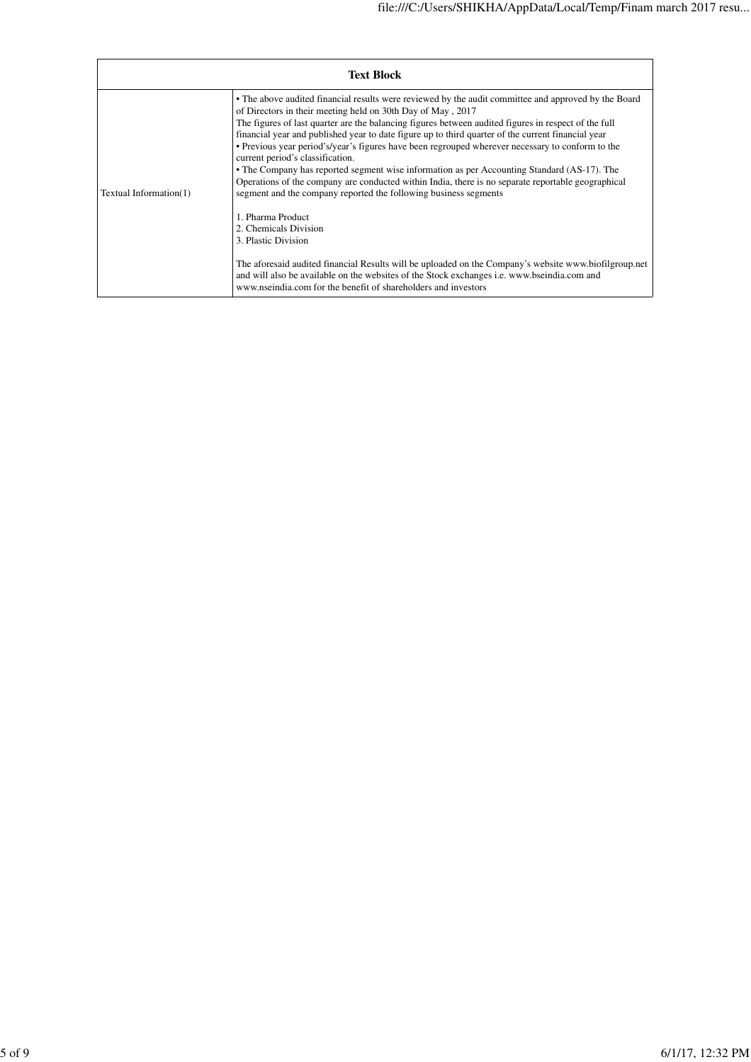| <b>Text Block</b>      |                                                                                                                                                                                                                                                                                                                                                                                                                                                                                                                                                                                                                                                                                                                                                                                                                         |  |  |
|------------------------|-------------------------------------------------------------------------------------------------------------------------------------------------------------------------------------------------------------------------------------------------------------------------------------------------------------------------------------------------------------------------------------------------------------------------------------------------------------------------------------------------------------------------------------------------------------------------------------------------------------------------------------------------------------------------------------------------------------------------------------------------------------------------------------------------------------------------|--|--|
| Textual Information(1) | • The above audited financial results were reviewed by the audit committee and approved by the Board<br>of Directors in their meeting held on 30th Day of May, 2017<br>The figures of last quarter are the balancing figures between audited figures in respect of the full<br>financial year and published year to date figure up to third quarter of the current financial year<br>• Previous year period's/year's figures have been regrouped wherever necessary to conform to the<br>current period's classification.<br>• The Company has reported segment wise information as per Accounting Standard (AS-17). The<br>Operations of the company are conducted within India, there is no separate reportable geographical<br>segment and the company reported the following business segments<br>1. Pharma Product |  |  |
|                        | 2. Chemicals Division                                                                                                                                                                                                                                                                                                                                                                                                                                                                                                                                                                                                                                                                                                                                                                                                   |  |  |
|                        | 3. Plastic Division                                                                                                                                                                                                                                                                                                                                                                                                                                                                                                                                                                                                                                                                                                                                                                                                     |  |  |
|                        | The aforesaid audited financial Results will be uploaded on the Company's website www.biofilgroup.net<br>and will also be available on the websites of the Stock exchanges <i>i.e.</i> www.bseindia.com and<br>www.nseindia.com for the benefit of shareholders and investors                                                                                                                                                                                                                                                                                                                                                                                                                                                                                                                                           |  |  |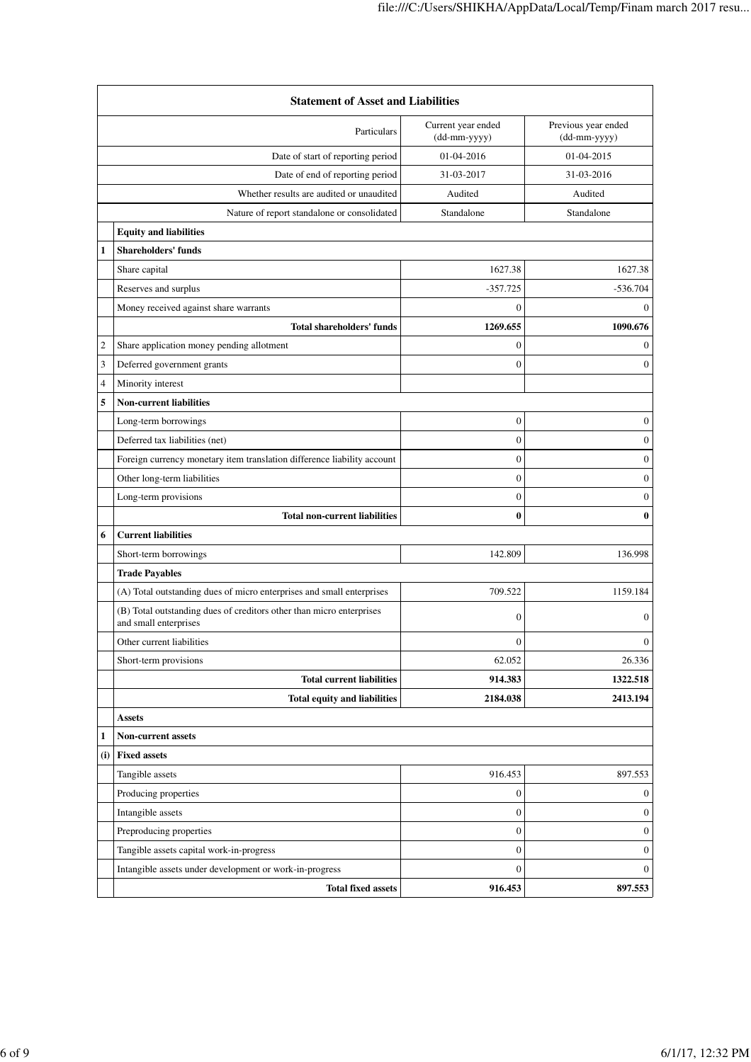|                | <b>Statement of Asset and Liabilities</b>                                                     |                                    |                                     |  |
|----------------|-----------------------------------------------------------------------------------------------|------------------------------------|-------------------------------------|--|
|                | Particulars                                                                                   | Current year ended<br>(dd-mm-yyyy) | Previous year ended<br>(dd-mm-yyyy) |  |
|                | Date of start of reporting period                                                             | 01-04-2016                         | 01-04-2015                          |  |
|                | Date of end of reporting period                                                               | 31-03-2017                         | 31-03-2016                          |  |
|                | Whether results are audited or unaudited                                                      | Audited                            | Audited                             |  |
|                | Nature of report standalone or consolidated                                                   | Standalone                         | Standalone                          |  |
|                | <b>Equity and liabilities</b>                                                                 |                                    |                                     |  |
| $\mathbf{1}$   | <b>Shareholders' funds</b>                                                                    |                                    |                                     |  |
|                | Share capital                                                                                 | 1627.38                            | 1627.38                             |  |
|                | Reserves and surplus                                                                          | $-357.725$                         | $-536.704$                          |  |
|                | Money received against share warrants                                                         | $\Omega$                           | $\Omega$                            |  |
|                | <b>Total shareholders' funds</b>                                                              | 1269.655                           | 1090.676                            |  |
| $\mathfrak{2}$ | Share application money pending allotment                                                     | $\boldsymbol{0}$                   | $\mathbf{0}$                        |  |
| 3              | Deferred government grants                                                                    | $\mathbf{0}$                       | $\boldsymbol{0}$                    |  |
| 4              | Minority interest                                                                             |                                    |                                     |  |
| 5              | <b>Non-current liabilities</b>                                                                |                                    |                                     |  |
|                | Long-term borrowings                                                                          | $\boldsymbol{0}$                   | $\boldsymbol{0}$                    |  |
|                | Deferred tax liabilities (net)                                                                | $\mathbf{0}$                       | $\boldsymbol{0}$                    |  |
|                | Foreign currency monetary item translation difference liability account                       | $\boldsymbol{0}$                   | $\boldsymbol{0}$                    |  |
|                | Other long-term liabilities                                                                   | $\mathbf{0}$                       | $\mathbf{0}$                        |  |
|                | Long-term provisions                                                                          | $\boldsymbol{0}$                   | $\boldsymbol{0}$                    |  |
|                | <b>Total non-current liabilities</b>                                                          | $\bf{0}$                           | $\bf{0}$                            |  |
| 6              | <b>Current liabilities</b>                                                                    |                                    |                                     |  |
|                | Short-term borrowings                                                                         | 142.809                            | 136.998                             |  |
|                | <b>Trade Payables</b>                                                                         |                                    |                                     |  |
|                | (A) Total outstanding dues of micro enterprises and small enterprises                         | 709.522                            | 1159.184                            |  |
|                | (B) Total outstanding dues of creditors other than micro enterprises<br>and small enterprises | $\mathbf{0}$                       | $\overline{0}$                      |  |
|                | Other current liabilities                                                                     | $\boldsymbol{0}$                   | $\boldsymbol{0}$                    |  |
|                | Short-term provisions                                                                         | 62.052                             | 26.336                              |  |
|                | <b>Total current liabilities</b>                                                              | 914.383                            | 1322.518                            |  |
|                | <b>Total equity and liabilities</b>                                                           | 2184.038                           | 2413.194                            |  |
|                | <b>Assets</b>                                                                                 |                                    |                                     |  |
| 1              | <b>Non-current assets</b>                                                                     |                                    |                                     |  |
| (i)            | <b>Fixed assets</b>                                                                           |                                    |                                     |  |
|                | Tangible assets                                                                               | 916.453                            | 897.553                             |  |
|                | Producing properties                                                                          | $\boldsymbol{0}$                   | $\mathbf{0}$                        |  |
|                | Intangible assets                                                                             | $\boldsymbol{0}$                   | $\overline{0}$                      |  |
|                | Preproducing properties                                                                       | $\boldsymbol{0}$                   | $\overline{0}$                      |  |
|                | Tangible assets capital work-in-progress                                                      | $\boldsymbol{0}$                   | $\overline{0}$                      |  |
|                | Intangible assets under development or work-in-progress                                       | $\boldsymbol{0}$                   | $\overline{0}$                      |  |
|                | <b>Total fixed assets</b>                                                                     | 916.453                            | 897.553                             |  |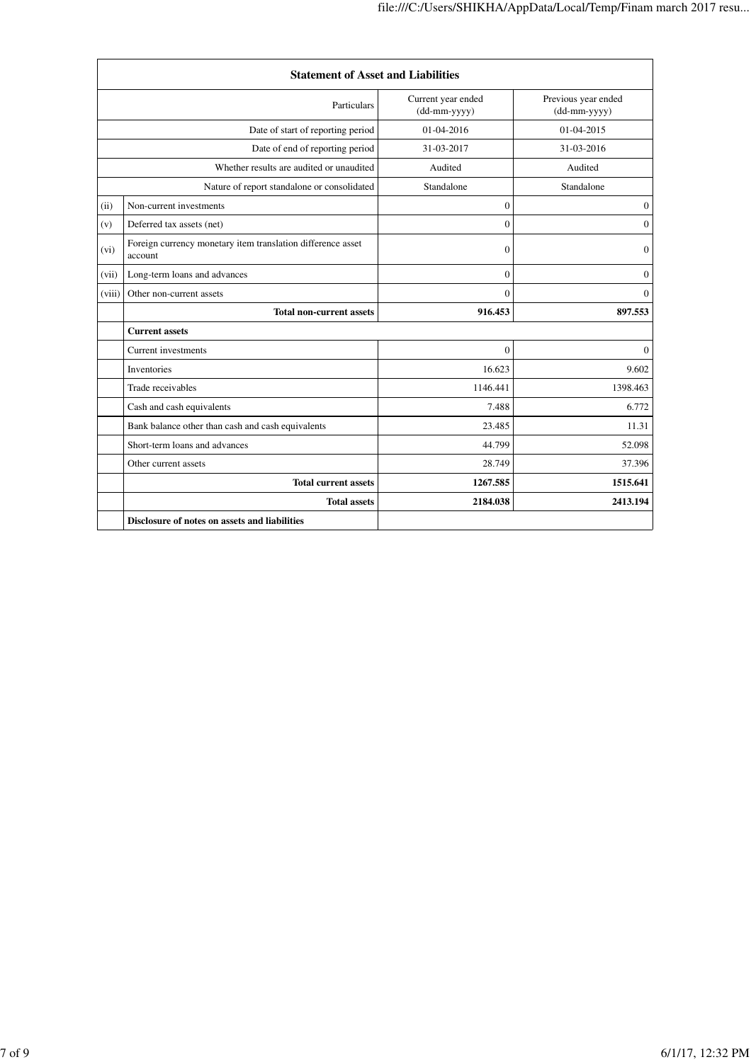|                                   | <b>Statement of Asset and Liabilities</b>                              |                                    |                                     |
|-----------------------------------|------------------------------------------------------------------------|------------------------------------|-------------------------------------|
| Particulars                       |                                                                        | Current year ended<br>(dd-mm-yyyy) | Previous year ended<br>(dd-mm-yyyy) |
| Date of start of reporting period |                                                                        | 01-04-2016                         | 01-04-2015                          |
|                                   | Date of end of reporting period                                        | 31-03-2017                         | 31-03-2016                          |
|                                   | Whether results are audited or unaudited                               | Audited                            | Audited                             |
|                                   | Nature of report standalone or consolidated                            | Standalone                         | Standalone                          |
| (ii)                              | Non-current investments                                                | $\theta$                           | $\boldsymbol{0}$                    |
| (v)                               | Deferred tax assets (net)                                              | $\overline{0}$                     | $\theta$                            |
| (vi)                              | Foreign currency monetary item translation difference asset<br>account | $\theta$                           | $\mathbf{0}$                        |
| (vii)                             | Long-term loans and advances                                           | $\theta$                           | $\mathbf{0}$                        |
| (viii)                            | Other non-current assets                                               | $\theta$                           | $\Omega$                            |
|                                   | <b>Total non-current assets</b>                                        | 916.453                            | 897.553                             |
|                                   | <b>Current assets</b>                                                  |                                    |                                     |
|                                   | <b>Current investments</b>                                             | $\Omega$                           | $\Omega$                            |
|                                   | Inventories                                                            | 16.623                             | 9.602                               |
|                                   | Trade receivables                                                      | 1146.441                           | 1398.463                            |
|                                   | Cash and cash equivalents                                              | 7.488                              | 6.772                               |
|                                   | Bank balance other than cash and cash equivalents                      | 23.485                             | 11.31                               |
|                                   | Short-term loans and advances                                          | 44.799                             | 52.098                              |
|                                   | Other current assets                                                   | 28.749                             | 37.396                              |
|                                   | <b>Total current assets</b>                                            | 1267.585                           | 1515.641                            |
|                                   | <b>Total assets</b>                                                    | 2184.038                           | 2413.194                            |
|                                   | Disclosure of notes on assets and liabilities                          |                                    |                                     |